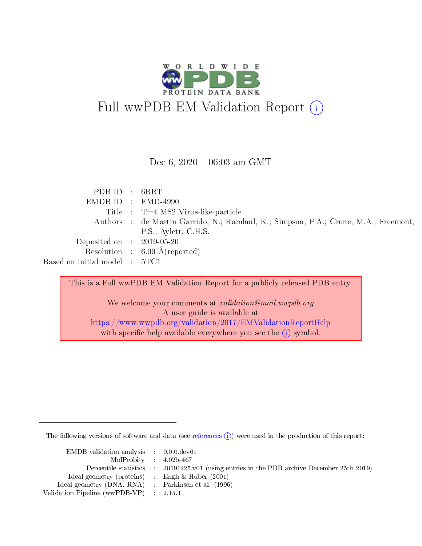

#### Dec 6,  $2020 - 06:03$  am GMT

| PDB ID : 6RRT                         |                                                                                     |
|---------------------------------------|-------------------------------------------------------------------------------------|
|                                       | $EMDB ID : EMD-4990$                                                                |
|                                       | Title : $T=4$ MS2 Virus-like-particle                                               |
|                                       | Authors : de Martin Garrido, N.; Ramlaul, K.; Simpson, P.A.; Crone, M.A.; Freemont, |
|                                       | P.S.; Aylett, C.H.S.                                                                |
| Deposited on : $2019-05-20$           |                                                                                     |
|                                       | Resolution : $6.00 \text{ Å}$ (reported)                                            |
| Based on initial model $\; : \; 5TC1$ |                                                                                     |

This is a Full wwPDB EM Validation Report for a publicly released PDB entry.

We welcome your comments at validation@mail.wwpdb.org A user guide is available at <https://www.wwpdb.org/validation/2017/EMValidationReportHelp> with specific help available everywhere you see the  $(i)$  symbol.

The following versions of software and data (see [references](https://www.wwpdb.org/validation/2017/EMValidationReportHelp#references)  $(i)$ ) were used in the production of this report:

| EMDB validation analysis : 0.0.0.dev61              |                                                                                            |
|-----------------------------------------------------|--------------------------------------------------------------------------------------------|
| MolProbity : $4.02b-467$                            |                                                                                            |
|                                                     | Percentile statistics : 20191225.v01 (using entries in the PDB archive December 25th 2019) |
| Ideal geometry (proteins) : Engh $\&$ Huber (2001)  |                                                                                            |
| Ideal geometry (DNA, RNA) : Parkinson et al. (1996) |                                                                                            |
| Validation Pipeline (wwPDB-VP) : 2.15.1             |                                                                                            |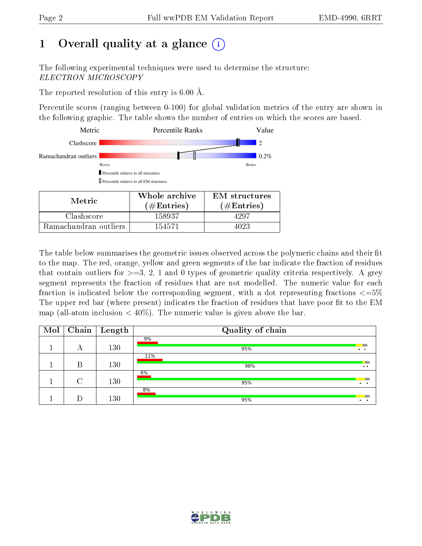# 1 [O](https://www.wwpdb.org/validation/2017/EMValidationReportHelp#overall_quality)verall quality at a glance  $(i)$

The following experimental techniques were used to determine the structure: ELECTRON MICROSCOPY

The reported resolution of this entry is  $6.00 \text{ Å}.$ 

Percentile scores (ranging between 0-100) for global validation metrics of the entry are shown in the following graphic. The table shows the number of entries on which the scores are based.



| Metric-               | <u>w hole</u> archive<br>$(\#\text{Entries})$ | Livi structures<br>$(\#\text{Entries})$ |
|-----------------------|-----------------------------------------------|-----------------------------------------|
| Clashscore            | 158937                                        | 4997                                    |
| Ramachandran outliers | 154571                                        |                                         |

The table below summarises the geometric issues observed across the polymeric chains and their fit to the map. The red, orange, yellow and green segments of the bar indicate the fraction of residues that contain outliers for  $\geq=3, 2, 1$  and 0 types of geometric quality criteria respectively. A grey segment represents the fraction of residues that are not modelled. The numeric value for each fraction is indicated below the corresponding segment, with a dot representing fractions  $\epsilon = 5\%$ The upper red bar (where present) indicates the fraction of residues that have poor fit to the EM map (all-atom inclusion  $\langle 40\% \rangle$ ). The numeric value is given above the bar.

| Mol | Chain | $\mid$ Length | Quality of chain |                      |
|-----|-------|---------------|------------------|----------------------|
|     | А     | 130           | 9%<br>95%        | $\bullet$            |
|     | В     | 130           | 11%<br>98%       | $\bullet\bullet$     |
|     |       | 130           | 6%<br>95%        | $\ddot{\phantom{1}}$ |
|     |       | 130           | 8%<br>95%        |                      |

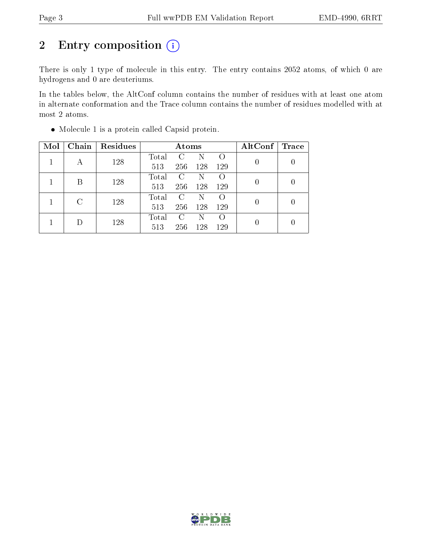# 2 Entry composition (i)

There is only 1 type of molecule in this entry. The entry contains 2052 atoms, of which 0 are hydrogens and 0 are deuteriums.

In the tables below, the AltConf column contains the number of residues with at least one atom in alternate conformation and the Trace column contains the number of residues modelled with at most 2 atoms.

| Mol | Chain | Residues |       | Atoms   |     |     | $\mathrm{AltConf}$ | <b>Trace</b> |
|-----|-------|----------|-------|---------|-----|-----|--------------------|--------------|
|     | А     | 128      | Total | C       | N   |     | 0                  |              |
|     |       |          | 513   | 256     | 128 | 129 |                    |              |
|     | B     | 128      | Total | C       | N   |     | 0                  |              |
|     |       |          | 513   | 256     | 128 | 129 |                    |              |
|     |       | 128      | Total | C       | N   |     | 0                  |              |
|     |       |          | 513   | 256     | 128 | 129 |                    |              |
|     |       | 128      | Total | $\rm C$ | N   |     | 0                  |              |
|     |       |          | 513   | 256     | 128 | 129 |                    |              |

Molecule 1 is a protein called Capsid protein.

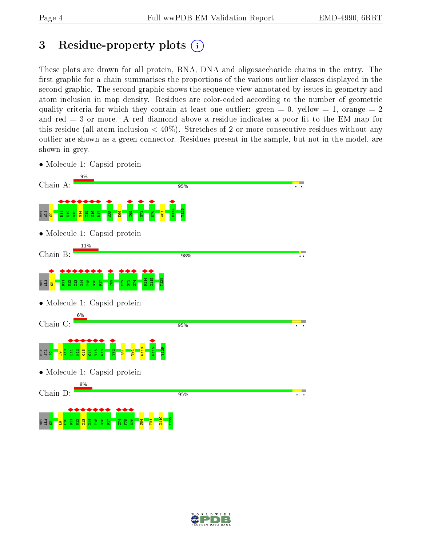# <span id="page-3-0"></span>3 Residue-property plots  $(i)$

These plots are drawn for all protein, RNA, DNA and oligosaccharide chains in the entry. The first graphic for a chain summarises the proportions of the various outlier classes displayed in the second graphic. The second graphic shows the sequence view annotated by issues in geometry and atom inclusion in map density. Residues are color-coded according to the number of geometric quality criteria for which they contain at least one outlier: green  $= 0$ , yellow  $= 1$ , orange  $= 2$ and red  $=$  3 or more. A red diamond above a residue indicates a poor fit to the EM map for this residue (all-atom inclusion  $\lt 40\%$ ). Stretches of 2 or more consecutive residues without any outlier are shown as a green connector. Residues present in the sample, but not in the model, are shown in grey.

• Molecule 1: Capsid protein



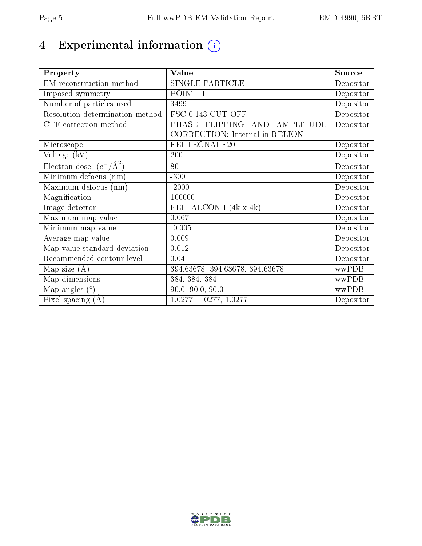# 4 Experimental information  $(i)$

| Property                           | Value                           | Source                         |
|------------------------------------|---------------------------------|--------------------------------|
| EM reconstruction method           | <b>SINGLE PARTICLE</b>          | Depositor                      |
| Imposed symmetry                   | POINT, I                        | Depositor                      |
| Number of particles used           | 3499                            | Depositor                      |
| Resolution determination method    | FSC 0.143 CUT-OFF               | Depositor                      |
| CTF correction method              | PHASE FLIPPING AND<br>AMPLITUDE | Depositor                      |
|                                    | CORRECTION; Internal in RELION  |                                |
| Microscope                         | FEI TECNAI F20                  | Depositor                      |
| Voltage (kV)                       | 200                             | Depositor                      |
| Electron dose $(e^-/\text{\AA}^2)$ | 80                              | Depositor                      |
| Minimum defocus (nm)               | $-300$                          | Depositor                      |
| Maximum defocus<br>(nm)            | $-2000$                         | $\overline{\text{De}}$ positor |
| Magnification                      | 100000                          | Depositor                      |
| Image detector                     | FEI FALCON I (4k x 4k)          | $\overline{\text{De}}$ positor |
| Maximum map value                  | 0.067                           | Depositor                      |
| Minimum map value                  | $-0.005$                        | Depositor                      |
| Average map value                  | 0.009                           | Depositor                      |
| Map value standard deviation       | 0.012                           | Depositor                      |
| Recommended contour level          | 0.04                            | Depositor                      |
| Map size $(A)$                     | 394.63678, 394.63678, 394.63678 | wwPDB                          |
| Map dimensions                     | 384, 384, 384                   | wwPDB                          |
| Map angles $(°)$                   | 90.0, 90.0, 90.0                | wwPDB                          |
| Pixel spacing $(A)$                | 1.0277, 1.0277, 1.0277          | Depositor                      |

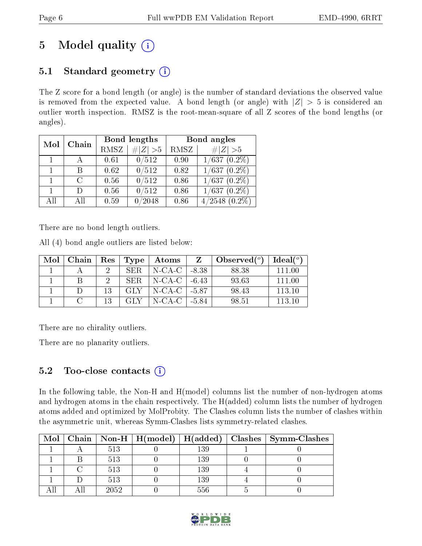# 5 Model quality  $(i)$

## 5.1 Standard geometry  $(i)$

The Z score for a bond length (or angle) is the number of standard deviations the observed value is removed from the expected value. A bond length (or angle) with  $|Z| > 5$  is considered an outlier worth inspection. RMSZ is the root-mean-square of all Z scores of the bond lengths (or angles).

| Mol          | Chain  |      | Bond lengths  | Bond angles |                    |  |
|--------------|--------|------|---------------|-------------|--------------------|--|
|              |        | RMSZ | $\# Z >5$     | RMSZ        | $\# Z  > 5$        |  |
| $\mathbf{1}$ |        | 0.61 | 0/512         | 0.90        | $1/637(0.2\%)$     |  |
|              | В      | 0.62 | 0/512         | 0.82        | 1/637<br>$(0.2\%)$ |  |
|              | $\cap$ | 0.56 | 0/512         | 0.86        | 1/637<br>$(0.2\%)$ |  |
|              | Ð      | 0.56 | 0/512         | 0.86        | $(0.2\%)$<br>1/637 |  |
| AH           | АH     | 0.59 | $^\prime2048$ | 0.86        | /2548<br>$(0.2\%)$ |  |

There are no bond length outliers.

All (4) bond angle outliers are listed below:

| Mol | Chain    |    | $\mid$ Res $\mid$ Type $\mid$ | Atoms                        | Z | $\lambda$ Observed $(^\circ)$ | $Ideal(^o)$ |
|-----|----------|----|-------------------------------|------------------------------|---|-------------------------------|-------------|
|     |          |    | SER.                          | N-CA-C   -8.38               |   | 88.38                         | -111-00     |
|     |          |    | -SER-                         | $\vert$ N-CA-C $\vert$ -6.43 |   | 93.63                         | 111 00      |
|     |          | 13 | GLY -                         | N-CA-C   -5.87               |   | 98.43                         | 113.10      |
|     | $\Gamma$ | 13 | GLY.                          | $N\text{-CA-C}$ 1 -5.84      |   | 98.51                         | 113 10      |

There are no chirality outliers.

There are no planarity outliers.

## 5.2 Too-close contacts  $(i)$

In the following table, the Non-H and H(model) columns list the number of non-hydrogen atoms and hydrogen atoms in the chain respectively. The H(added) column lists the number of hydrogen atoms added and optimized by MolProbity. The Clashes column lists the number of clashes within the asymmetric unit, whereas Symm-Clashes lists symmetry-related clashes.

| Mol |      |          | Chain   Non-H   H(model)   H(added)   Clashes   Symm-Clashes |
|-----|------|----------|--------------------------------------------------------------|
|     | 513  | 139      |                                                              |
|     | 513  | 139      |                                                              |
|     | 513  | 139      |                                                              |
|     | 513  | $^{139}$ |                                                              |
|     | 2052 | 556      |                                                              |

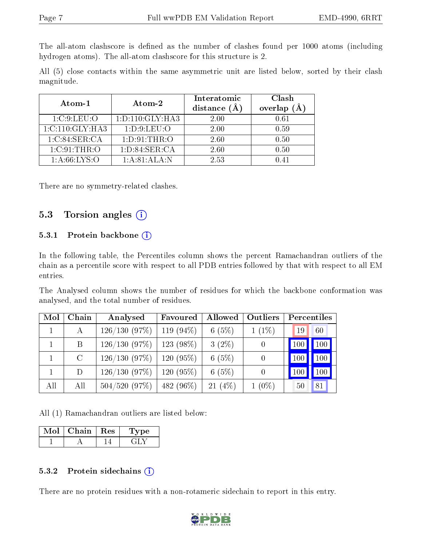The all-atom clashscore is defined as the number of clashes found per 1000 atoms (including hydrogen atoms). The all-atom clashscore for this structure is 2.

All (5) close contacts within the same asymmetric unit are listed below, sorted by their clash magnitude.

| Atom-1          | Atom-2              | Interatomic<br>distance $(A)$ | Clash<br>overlap $(A)$ |
|-----------------|---------------------|-------------------------------|------------------------|
| 1:C:9:LEU:O     | 1: D: 110: GLY: HA3 | 2.00                          | 0.61                   |
| 1:C:110:GLY:HA3 | 1: D:9: LEU:O       | 2.00                          | 0.59                   |
| 1:C:84:SER:CA   | 1: D:91:THR:O       | 2.60                          | 0.50                   |
| 1:C:91:THR:O    | 1: D:84: SER:CA     | 2.60                          | 0.50                   |
| 1: A:66:LYS:O   | 1: A:81: ALA: N     | 2.53                          |                        |

There are no symmetry-related clashes.

### 5.3 Torsion angles (i)

#### 5.3.1 Protein backbone  $(i)$

In the following table, the Percentiles column shows the percent Ramachandran outliers of the chain as a percentile score with respect to all PDB entries followed by that with respect to all EM entries.

The Analysed column shows the number of residues for which the backbone conformation was analysed, and the total number of residues.

| Mol | Chain   | Analysed        | Favoured     | Allowed  | Outliers | Percentiles |     |
|-----|---------|-----------------|--------------|----------|----------|-------------|-----|
|     | A       | 126/130(97%)    | 119 $(94\%)$ | 6(5%)    | $1(1\%)$ | 19          | 60  |
|     | B       | 126/130(97%)    | 123 (98%)    | $3(2\%)$ | 0        |             | 100 |
|     | $\rm C$ | 126/130(97%)    | $120(95\%)$  | 6(5%)    |          | 100         | 100 |
|     | D.      | 126/130(97%)    | $120(95\%)$  | 6(5%)    | 0        |             | 100 |
| All | All     | $504/520$ (97%) | 482 (96\%)   | 21(4%)   | $1(0\%)$ | 50          | 81  |

All (1) Ramachandran outliers are listed below:

| Chain | Res | Lype |
|-------|-----|------|
|       |     |      |

#### 5.3.2 Protein sidechains  $(i)$

There are no protein residues with a non-rotameric sidechain to report in this entry.

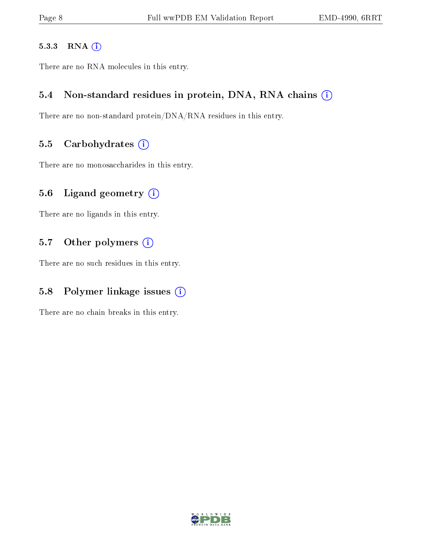#### 5.3.3 RNA [O](https://www.wwpdb.org/validation/2017/EMValidationReportHelp#rna)i

There are no RNA molecules in this entry.

## 5.4 Non-standard residues in protein, DNA, RNA chains (i)

There are no non-standard protein/DNA/RNA residues in this entry.

#### 5.5 Carbohydrates  $(i)$

There are no monosaccharides in this entry.

## 5.6 Ligand geometry  $(i)$

There are no ligands in this entry.

## 5.7 [O](https://www.wwpdb.org/validation/2017/EMValidationReportHelp#nonstandard_residues_and_ligands)ther polymers  $(i)$

There are no such residues in this entry.

## 5.8 Polymer linkage issues  $(i)$

There are no chain breaks in this entry.

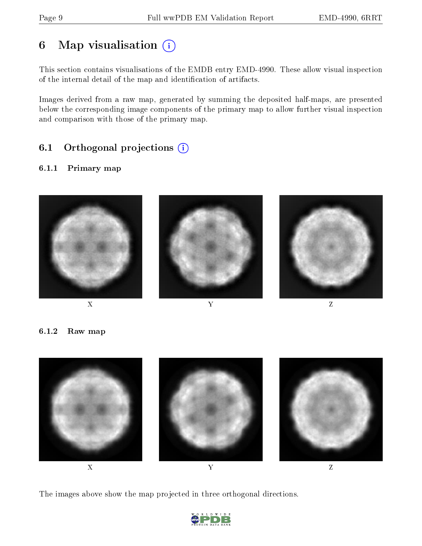# 6 Map visualisation  $(i)$

This section contains visualisations of the EMDB entry EMD-4990. These allow visual inspection of the internal detail of the map and identification of artifacts.

Images derived from a raw map, generated by summing the deposited half-maps, are presented below the corresponding image components of the primary map to allow further visual inspection and comparison with those of the primary map.

## 6.1 [O](https://www.wwpdb.org/validation/2017/EMValidationReportHelp#orthogonal_projections)rthogonal projections (i)

#### 6.1.1 Primary map





6.1.2 Raw map



The images above show the map projected in three orthogonal directions.

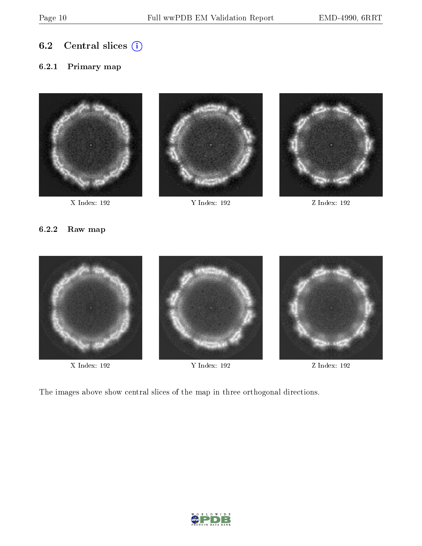6.2 Central slices  $(i)$ 

#### 6.2.1 Primary map



X Index: 192 Y Index: 192 Z Index: 192





#### 6.2.2 Raw map



X Index: 192 Y Index: 192 Z Index: 192

The images above show central slices of the map in three orthogonal directions.

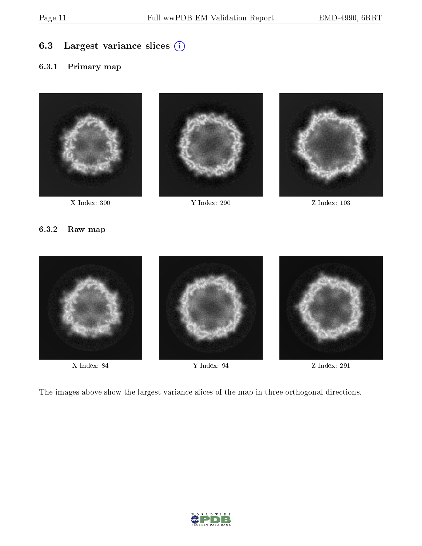## 6.3 Largest variance slices (i)

#### 6.3.1 Primary map



X Index: 300 Y Index: 290 Z Index: 103





#### 6.3.2 Raw map



The images above show the largest variance slices of the map in three orthogonal directions.

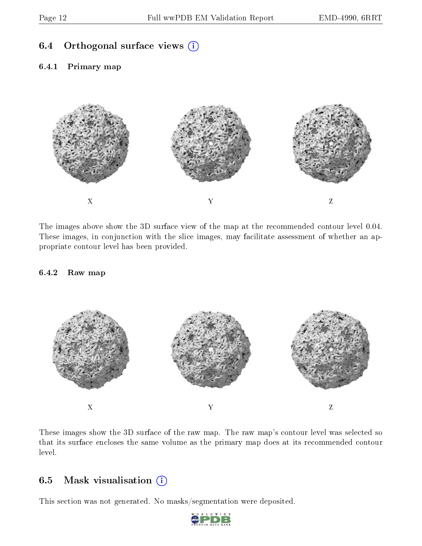## 6.4 [O](https://www.wwpdb.org/validation/2017/EMValidationReportHelp#orthogonal_views)rthogonal surface views  $(i)$

#### 6.4.1 Primary map



The images above show the 3D surface view of the map at the recommended contour level 0.04. These images, in conjunction with the slice images, may facilitate assessment of whether an appropriate contour level has been provided.

#### 6.4.2 Raw map



These images show the 3D surface of the raw map. The raw map's contour level was selected so that its surface encloses the same volume as the primary map does at its recommended contour level.

#### 6.5 Mask visualisation  $(i)$

This section was not generated. No masks/segmentation were deposited.

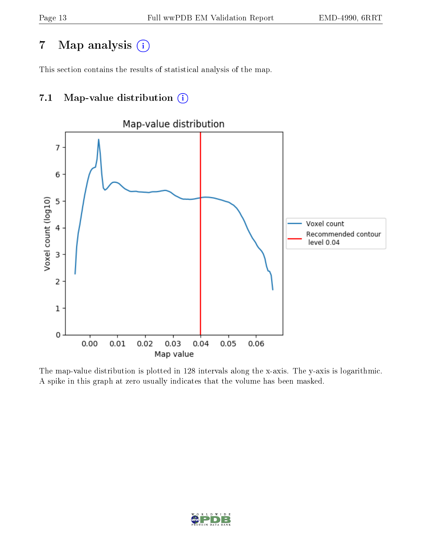# 7 Map analysis  $(i)$

This section contains the results of statistical analysis of the map.

## 7.1 Map-value distribution  $(i)$



The map-value distribution is plotted in 128 intervals along the x-axis. The y-axis is logarithmic. A spike in this graph at zero usually indicates that the volume has been masked.

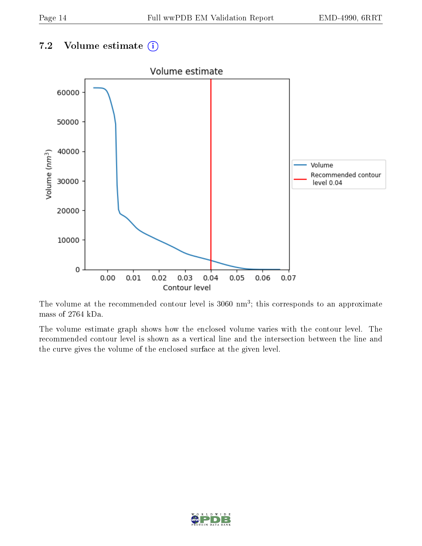## 7.2 Volume estimate  $(i)$



The volume at the recommended contour level is  $3060 \text{ nm}^3$ ; this corresponds to an approximate mass of 2764 kDa.

The volume estimate graph shows how the enclosed volume varies with the contour level. The recommended contour level is shown as a vertical line and the intersection between the line and the curve gives the volume of the enclosed surface at the given level.

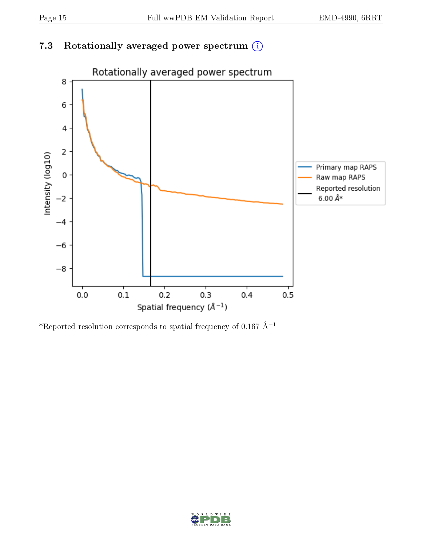## 7.3 Rotationally averaged power spectrum (i)



\*Reported resolution corresponds to spatial frequency of 0.167 Å<sup>-1</sup>

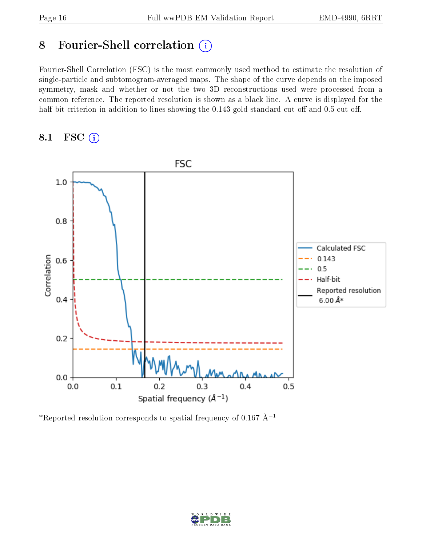## 8 Fourier-Shell correlation (i)

Fourier-Shell Correlation (FSC) is the most commonly used method to estimate the resolution of single-particle and subtomogram-averaged maps. The shape of the curve depends on the imposed symmetry, mask and whether or not the two 3D reconstructions used were processed from a common reference. The reported resolution is shown as a black line. A curve is displayed for the half-bit criterion in addition to lines showing the  $0.143$  gold standard cut-off and  $0.5$  cut-off.

## 8.1 FSC (i)



\*Reported resolution corresponds to spatial frequency of 0.167 Å<sup>-1</sup>

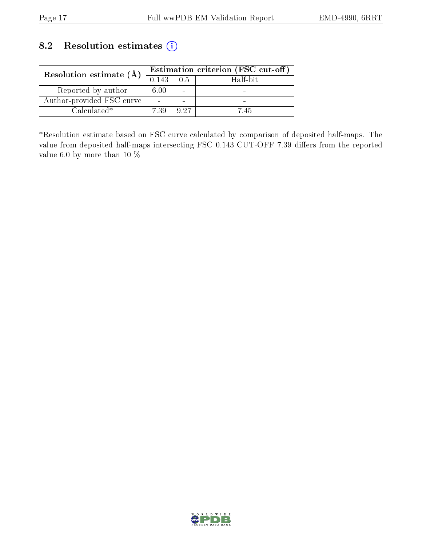## 8.2 Resolution estimates (i)

| Resolution estimate $(A)$ | Estimation criterion (FSC cut-off) |          |          |
|---------------------------|------------------------------------|----------|----------|
|                           | 0.143                              | 0.5      | Half-bit |
| Reported by author        | 6.00                               | $\equiv$ |          |
| Author-provided FSC curve |                                    | $\equiv$ |          |
| $Calculated*$             | 7.39                               | Q 97     | $7.45 -$ |

\*Resolution estimate based on FSC curve calculated by comparison of deposited half-maps. The value from deposited half-maps intersecting FSC 0.143 CUT-OFF 7.39 differs from the reported value 6.0 by more than 10  $\%$ 

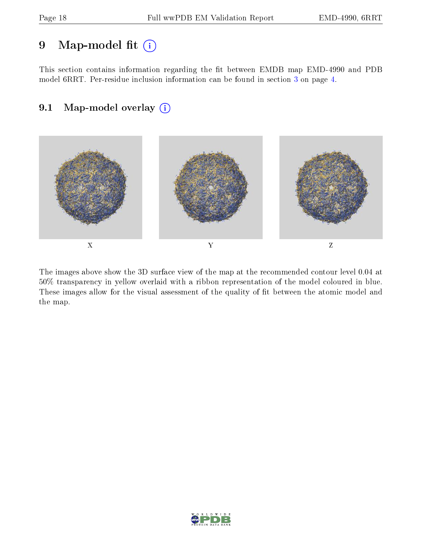## 9 Map-model fit  $(i)$

This section contains information regarding the fit between EMDB map EMD-4990 and PDB model 6RRT. Per-residue inclusion information can be found in section [3](#page-3-0) on page [4.](#page-3-0)

## 9.1 Map-model overlay (i)



The images above show the 3D surface view of the map at the recommended contour level 0.04 at 50% transparency in yellow overlaid with a ribbon representation of the model coloured in blue. These images allow for the visual assessment of the quality of fit between the atomic model and the map.